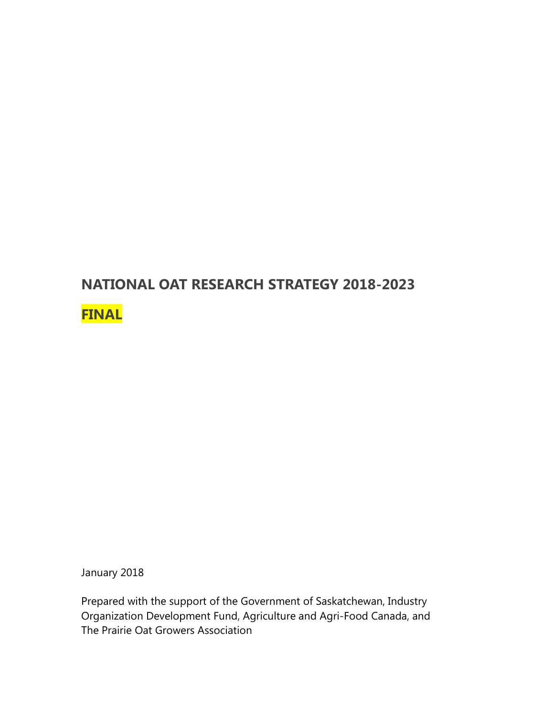#### **NATIONAL OAT RESEARCH STRATEGY 2018-2023**

#### **FINAL**

January 2018

Prepared with the support of the Government of Saskatchewan, Industry Organization Development Fund, Agriculture and Agri-Food Canada, and The Prairie Oat Growers Association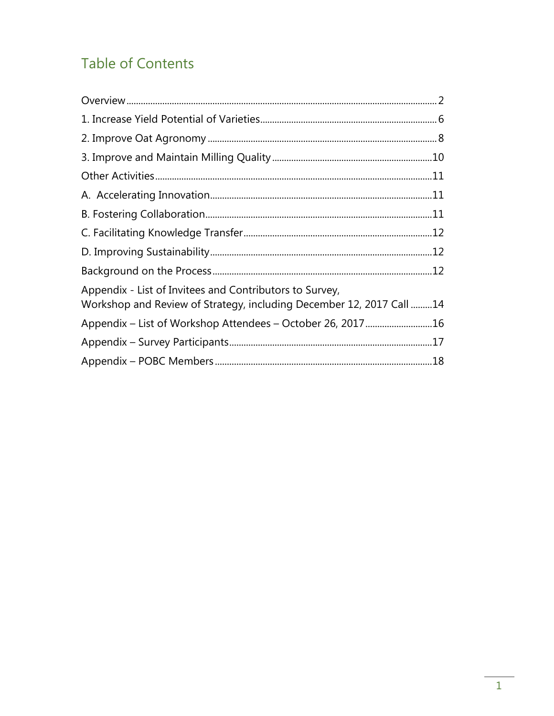### **Table of Contents**

| Appendix - List of Invitees and Contributors to Survey,<br>Workshop and Review of Strategy, including December 12, 2017 Call 14 |  |
|---------------------------------------------------------------------------------------------------------------------------------|--|
|                                                                                                                                 |  |
|                                                                                                                                 |  |
|                                                                                                                                 |  |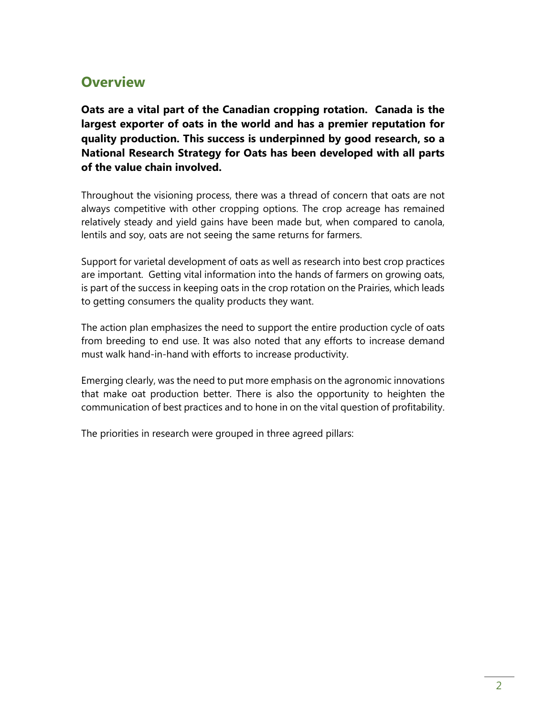#### <span id="page-2-0"></span>**Overview**

**Oats are a vital part of the Canadian cropping rotation. Canada is the largest exporter of oats in the world and has a premier reputation for quality production. This success is underpinned by good research, so a National Research Strategy for Oats has been developed with all parts of the value chain involved.** 

Throughout the visioning process, there was a thread of concern that oats are not always competitive with other cropping options. The crop acreage has remained relatively steady and yield gains have been made but, when compared to canola, lentils and soy, oats are not seeing the same returns for farmers.

Support for varietal development of oats as well as research into best crop practices are important. Getting vital information into the hands of farmers on growing oats, is part of the success in keeping oats in the crop rotation on the Prairies, which leads to getting consumers the quality products they want.

The action plan emphasizes the need to support the entire production cycle of oats from breeding to end use. It was also noted that any efforts to increase demand must walk hand-in-hand with efforts to increase productivity.

Emerging clearly, was the need to put more emphasis on the agronomic innovations that make oat production better. There is also the opportunity to heighten the communication of best practices and to hone in on the vital question of profitability.

The priorities in research were grouped in three agreed pillars: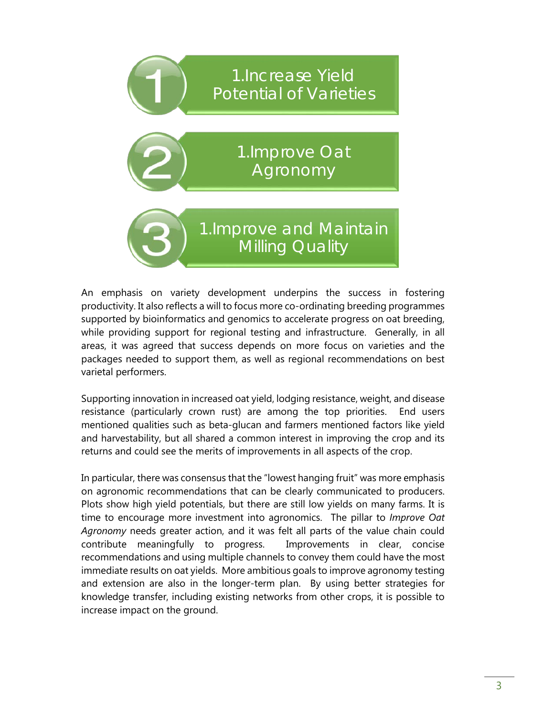

An emphasis on variety development underpins the success in fostering productivity. It also reflects a will to focus more co-ordinating breeding programmes supported by bioinformatics and genomics to accelerate progress on oat breeding, while providing support for regional testing and infrastructure. Generally, in all areas, it was agreed that success depends on more focus on varieties and the packages needed to support them, as well as regional recommendations on best varietal performers.

Supporting innovation in increased oat yield, lodging resistance, weight, and disease resistance (particularly crown rust) are among the top priorities. End users mentioned qualities such as beta-glucan and farmers mentioned factors like yield and harvestability, but all shared a common interest in improving the crop and its returns and could see the merits of improvements in all aspects of the crop.

In particular, there was consensus that the "lowest hanging fruit" was more emphasis on agronomic recommendations that can be clearly communicated to producers. Plots show high yield potentials, but there are still low yields on many farms. It is time to encourage more investment into agronomics. The pillar to *Improve Oat Agronomy* needs greater action, and it was felt all parts of the value chain could contribute meaningfully to progress. Improvements in clear, concise recommendations and using multiple channels to convey them could have the most immediate results on oat yields. More ambitious goals to improve agronomy testing and extension are also in the longer-term plan. By using better strategies for knowledge transfer, including existing networks from other crops, it is possible to increase impact on the ground.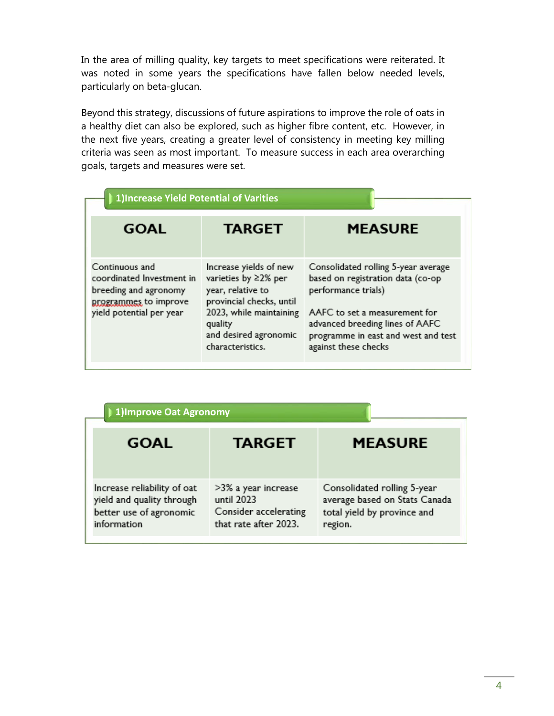In the area of milling quality, key targets to meet specifications were reiterated. It was noted in some years the specifications have fallen below needed levels, particularly on beta-glucan.

Beyond this strategy, discussions of future aspirations to improve the role of oats in a healthy diet can also be explored, such as higher fibre content, etc. However, in the next five years, creating a greater level of consistency in meeting key milling criteria was seen as most important. To measure success in each area overarching goals, targets and measures were set.

| 1) Increase Yield Potential of Varities                                                                                   |                                                                                                                                       |                                                                                                                                                                     |  |
|---------------------------------------------------------------------------------------------------------------------------|---------------------------------------------------------------------------------------------------------------------------------------|---------------------------------------------------------------------------------------------------------------------------------------------------------------------|--|
| <b>GOAL</b>                                                                                                               | <b>TARGET</b>                                                                                                                         | <b>MEASURE</b>                                                                                                                                                      |  |
| Continuous and<br>coordinated Investment in<br>breeding and agronomy<br>programmes to improve<br>yield potential per year | Increase yields of new<br>varieties by ≥2% per<br>year, relative to<br>provincial checks, until<br>2023, while maintaining<br>quality | Consolidated rolling 5-year average<br>based on registration data (co-op<br>performance trials)<br>AAFC to set a measurement for<br>advanced breeding lines of AAFC |  |
|                                                                                                                           | and desired agronomic<br>characteristics.                                                                                             | programme in east and west and test<br>against these checks                                                                                                         |  |

| 1) Improve Oat Agronomy                                                                            |                                                                                     |                                                                                                        |  |
|----------------------------------------------------------------------------------------------------|-------------------------------------------------------------------------------------|--------------------------------------------------------------------------------------------------------|--|
| <b>GOAL</b>                                                                                        | <b>TARGET</b>                                                                       | <b>MEASURE</b>                                                                                         |  |
| Increase reliability of oat<br>yield and quality through<br>better use of agronomic<br>information | >3% a year increase<br>until 2023<br>Consider accelerating<br>that rate after 2023. | Consolidated rolling 5-year<br>average based on Stats Canada<br>total yield by province and<br>region. |  |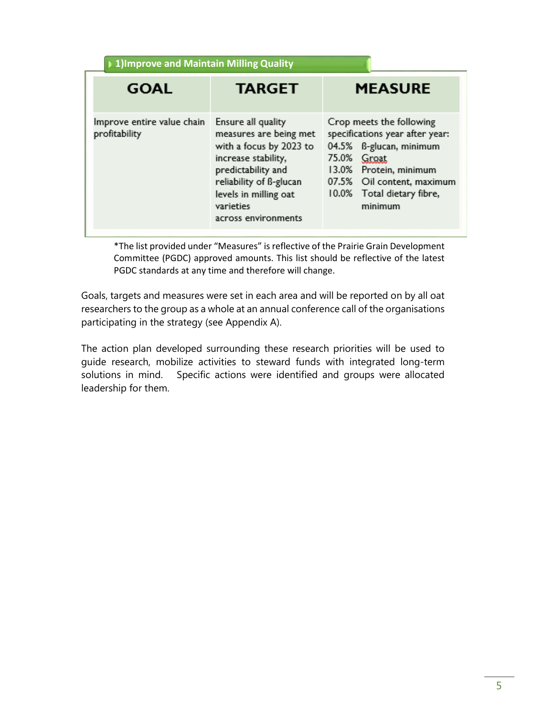| 1) Improve and Maintain Milling Quality     |                                                                                                                                                                                                              |                                                                                                                                                                                                        |
|---------------------------------------------|--------------------------------------------------------------------------------------------------------------------------------------------------------------------------------------------------------------|--------------------------------------------------------------------------------------------------------------------------------------------------------------------------------------------------------|
| <b>GOAL</b>                                 | <b>TARGET</b>                                                                                                                                                                                                | <b>MEASURE</b>                                                                                                                                                                                         |
| Improve entire value chain<br>profitability | Ensure all quality<br>measures are being met<br>with a focus by 2023 to<br>increase stability,<br>predictability and<br>reliability of B-glucan<br>levels in milling oat<br>varieties<br>across environments | Crop meets the following<br>specifications year after year:<br>04.5% B-glucan, minimum<br>75.0% Groat<br>13.0% Protein, minimum<br>07.5% Oil content, maximum<br>10.0% Total dietary fibre,<br>minimum |

\*The list provided under "Measures" is reflective of the Prairie Grain Development Committee (PGDC) approved amounts. This list should be reflective of the latest PGDC standards at any time and therefore will change.

Goals, targets and measures were set in each area and will be reported on by all oat researchers to the group as a whole at an annual conference call of the organisations participating in the strategy (see Appendix A).

The action plan developed surrounding these research priorities will be used to guide research, mobilize activities to steward funds with integrated long-term solutions in mind. Specific actions were identified and groups were allocated leadership for them.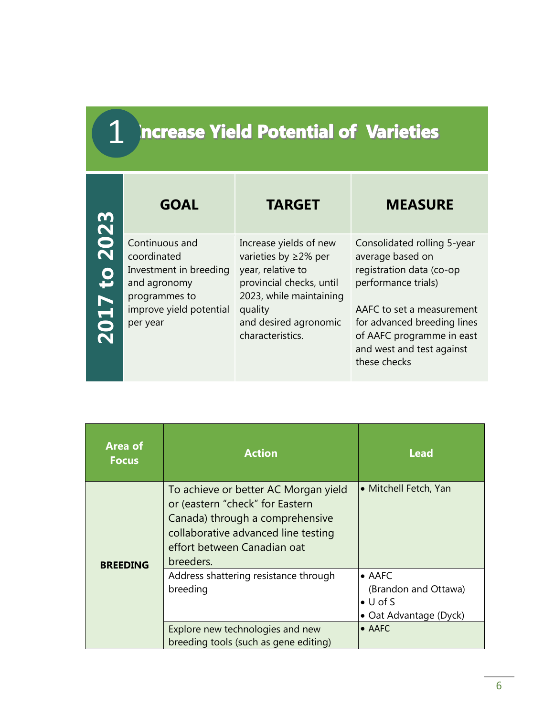#### <span id="page-6-0"></span>**Increase Yield Potential of Varieties** 1

| m                     | <b>GOAL</b>                                                                              | <b>TARGET</b>                                                                                                                    | <b>MEASURE</b>                                                                                                                     |
|-----------------------|------------------------------------------------------------------------------------------|----------------------------------------------------------------------------------------------------------------------------------|------------------------------------------------------------------------------------------------------------------------------------|
| 202<br>$\overline{5}$ | Continuous and<br>coordinated<br>Investment in breeding<br>and agronomy<br>programmes to | Increase yields of new<br>varieties by $\geq$ 2% per<br>year, relative to<br>provincial checks, until<br>2023, while maintaining | Consolidated rolling 5-year<br>average based on<br>registration data (co-op<br>performance trials)                                 |
| <b>Z017</b>           | improve yield potential<br>per year                                                      | quality<br>and desired agronomic<br>characteristics.                                                                             | AAFC to set a measurement<br>for advanced breeding lines<br>of AAFC programme in east<br>and west and test against<br>these checks |

| <b>Area of</b><br><b>Focus</b> | <b>Action</b>                                                                                                                                                                                 | <b>Lead</b>                                                                          |
|--------------------------------|-----------------------------------------------------------------------------------------------------------------------------------------------------------------------------------------------|--------------------------------------------------------------------------------------|
| <b>BREEDING</b>                | To achieve or better AC Morgan yield<br>or (eastern "check" for Eastern<br>Canada) through a comprehensive<br>collaborative advanced line testing<br>effort between Canadian oat<br>breeders. | • Mitchell Fetch, Yan                                                                |
|                                | Address shattering resistance through<br>breeding                                                                                                                                             | $\bullet$ AAFC<br>(Brandon and Ottawa)<br>$\bullet$ U of S<br>• Oat Advantage (Dyck) |
|                                | Explore new technologies and new<br>breeding tools (such as gene editing)                                                                                                                     | • AAFC                                                                               |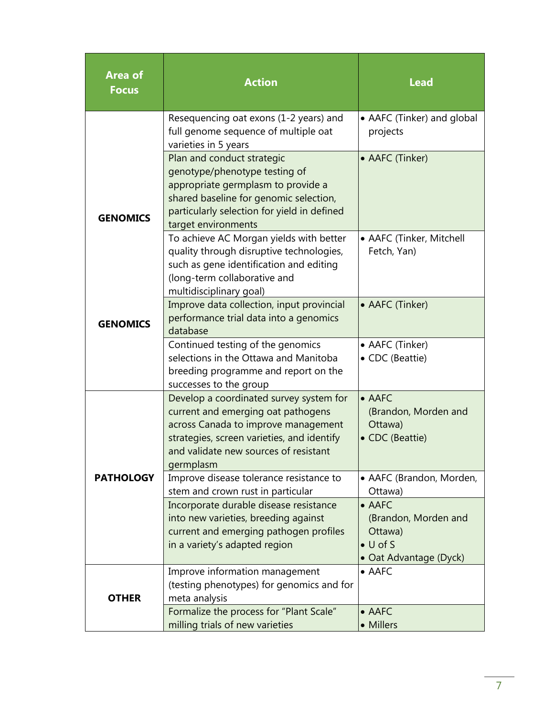| <b>Area of</b><br><b>Focus</b> | <b>Action</b>                                                                                                                                                                                                            | <b>Lead</b>                                                                                     |
|--------------------------------|--------------------------------------------------------------------------------------------------------------------------------------------------------------------------------------------------------------------------|-------------------------------------------------------------------------------------------------|
|                                | Resequencing oat exons (1-2 years) and<br>full genome sequence of multiple oat<br>varieties in 5 years                                                                                                                   | • AAFC (Tinker) and global<br>projects                                                          |
| <b>GENOMICS</b>                | Plan and conduct strategic<br>genotype/phenotype testing of<br>appropriate germplasm to provide a<br>shared baseline for genomic selection,<br>particularly selection for yield in defined<br>target environments        | • AAFC (Tinker)                                                                                 |
|                                | To achieve AC Morgan yields with better<br>quality through disruptive technologies,<br>such as gene identification and editing<br>(long-term collaborative and<br>multidisciplinary goal)                                | • AAFC (Tinker, Mitchell<br>Fetch, Yan)                                                         |
| <b>GENOMICS</b>                | Improve data collection, input provincial<br>performance trial data into a genomics<br>database                                                                                                                          | • AAFC (Tinker)                                                                                 |
|                                | Continued testing of the genomics<br>selections in the Ottawa and Manitoba<br>breeding programme and report on the<br>successes to the group                                                                             | • AAFC (Tinker)<br>• CDC (Beattie)                                                              |
|                                | Develop a coordinated survey system for<br>current and emerging oat pathogens<br>across Canada to improve management<br>strategies, screen varieties, and identify<br>and validate new sources of resistant<br>germplasm | $\bullet$ AAFC<br>(Brandon, Morden and<br>Ottawa)<br>• CDC (Beattie)                            |
| <b>PATHOLOGY</b>               | Improve disease tolerance resistance to<br>stem and crown rust in particular                                                                                                                                             | • AAFC (Brandon, Morden,<br>Ottawa)                                                             |
|                                | Incorporate durable disease resistance<br>into new varieties, breeding against<br>current and emerging pathogen profiles<br>in a variety's adapted region                                                                | $\bullet$ AAFC<br>(Brandon, Morden and<br>Ottawa)<br>$\bullet$ U of S<br>• Oat Advantage (Dyck) |
| <b>OTHER</b>                   | Improve information management<br>(testing phenotypes) for genomics and for<br>meta analysis                                                                                                                             | $\bullet$ AAFC                                                                                  |
|                                | Formalize the process for "Plant Scale"<br>milling trials of new varieties                                                                                                                                               | $\bullet$ AAFC<br>• Millers                                                                     |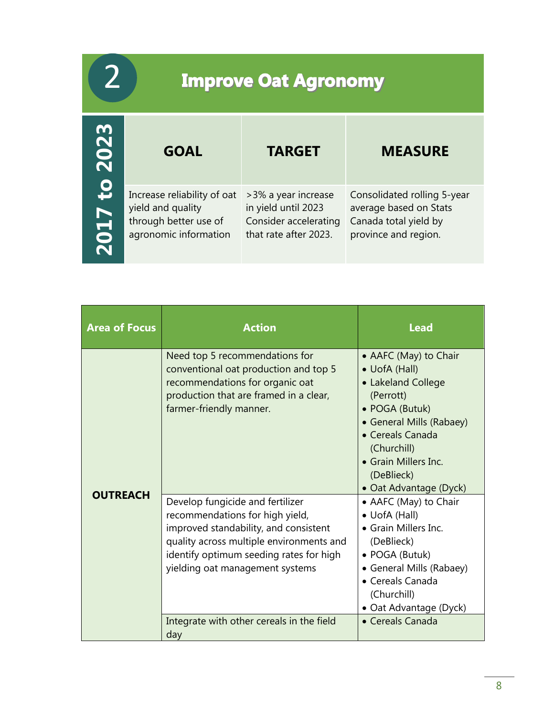# <span id="page-8-0"></span>**Improve Oat Agronomy**

2

| 2023                        | <b>GOAL</b>                                                                                        | <b>TARGET</b>                                                                                | <b>MEASURE</b>                                                                                         |
|-----------------------------|----------------------------------------------------------------------------------------------------|----------------------------------------------------------------------------------------------|--------------------------------------------------------------------------------------------------------|
| $\mathbf{c}$<br><b>Z017</b> | Increase reliability of oat<br>yield and quality<br>through better use of<br>agronomic information | >3% a year increase<br>in yield until 2023<br>Consider accelerating<br>that rate after 2023. | Consolidated rolling 5-year<br>average based on Stats<br>Canada total yield by<br>province and region. |

| <b>Area of Focus</b> | <b>Action</b>                                                                                                                                                                                                                          | <b>Lead</b>                                                                                                                                                                                                                |
|----------------------|----------------------------------------------------------------------------------------------------------------------------------------------------------------------------------------------------------------------------------------|----------------------------------------------------------------------------------------------------------------------------------------------------------------------------------------------------------------------------|
|                      | Need top 5 recommendations for<br>conventional oat production and top 5<br>recommendations for organic oat<br>production that are framed in a clear,<br>farmer-friendly manner.                                                        | • AAFC (May) to Chair<br>• UofA (Hall)<br>• Lakeland College<br>(Perrott)<br>• POGA (Butuk)<br>• General Mills (Rabaey)<br>• Cereals Canada<br>(Churchill)<br>• Grain Millers Inc.<br>(DeBlieck)<br>• Oat Advantage (Dyck) |
| <b>OUTREACH</b>      | Develop fungicide and fertilizer<br>recommendations for high yield,<br>improved standability, and consistent<br>quality across multiple environments and<br>identify optimum seeding rates for high<br>yielding oat management systems | • AAFC (May) to Chair<br>• UofA (Hall)<br>• Grain Millers Inc.<br>(DeBlieck)<br>• POGA (Butuk)<br>• General Mills (Rabaey)<br>• Cereals Canada<br>(Churchill)<br>• Oat Advantage (Dyck)                                    |
|                      | Integrate with other cereals in the field<br>day                                                                                                                                                                                       | • Cereals Canada                                                                                                                                                                                                           |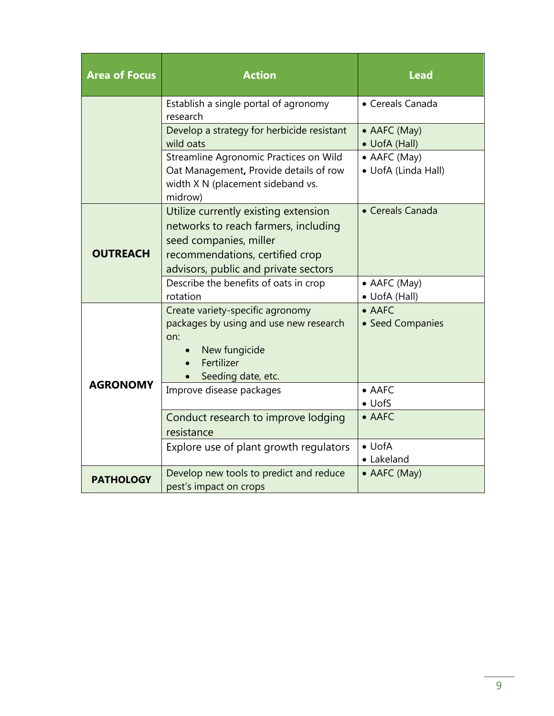| <b>Area of Focus</b> | <b>Action</b>                                                                                                                                                                     | <b>Lead</b>                         |
|----------------------|-----------------------------------------------------------------------------------------------------------------------------------------------------------------------------------|-------------------------------------|
|                      | Establish a single portal of agronomy<br>research                                                                                                                                 | • Cereals Canada                    |
|                      | Develop a strategy for herbicide resistant<br>wild oats                                                                                                                           | • AAFC (May)<br>• UofA (Hall)       |
|                      | Streamline Agronomic Practices on Wild<br>Oat Management, Provide details of row<br>width X N (placement sideband vs.<br>midrow)                                                  | • AAFC (May)<br>• UofA (Linda Hall) |
| <b>OUTREACH</b>      | Utilize currently existing extension<br>networks to reach farmers, including<br>seed companies, miller<br>recommendations, certified crop<br>advisors, public and private sectors | • Cereals Canada                    |
|                      | Describe the benefits of oats in crop<br>rotation                                                                                                                                 | • AAFC (May)<br>• UofA (Hall)       |
|                      | Create variety-specific agronomy<br>packages by using and use new research<br>on:<br>New fungicide<br>Fertilizer<br>Seeding date, etc.                                            | $\bullet$ AAFC<br>• Seed Companies  |
| <b>AGRONOMY</b>      | Improve disease packages                                                                                                                                                          | $\bullet$ AAFC<br>$\bullet$ UofS    |
|                      | Conduct research to improve lodging<br>resistance                                                                                                                                 | $\bullet$ AAFC                      |
|                      | Explore use of plant growth regulators                                                                                                                                            | $\bullet$ UofA<br>• Lakeland        |
| <b>PATHOLOGY</b>     | Develop new tools to predict and reduce<br>pest's impact on crops                                                                                                                 | • AAFC (May)                        |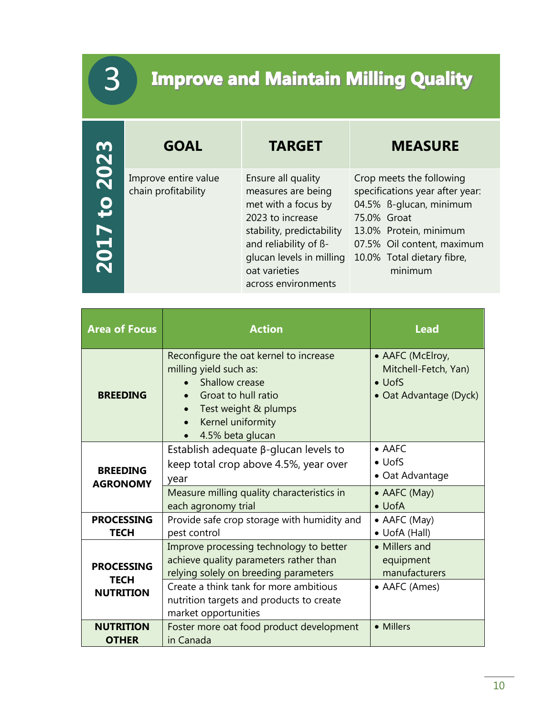# **Improve and Maintain Milling Quality**

<span id="page-10-0"></span>3

| m                                             | <b>GOAL</b>                                 | <b>TARGET</b>                                                                                                                                                                                                 | <b>MEASURE</b>                                                                                                                                                                                         |
|-----------------------------------------------|---------------------------------------------|---------------------------------------------------------------------------------------------------------------------------------------------------------------------------------------------------------------|--------------------------------------------------------------------------------------------------------------------------------------------------------------------------------------------------------|
| 202<br>$\overline{\mathbf{c}}$<br><b>Z017</b> | Improve entire value<br>chain profitability | Ensure all quality<br>measures are being<br>met with a focus by<br>2023 to increase<br>stability, predictability<br>and reliability of ß-<br>glucan levels in milling<br>oat varieties<br>across environments | Crop meets the following<br>specifications year after year:<br>04.5% B-glucan, minimum<br>75.0% Groat<br>13.0% Protein, minimum<br>07.5% Oil content, maximum<br>10.0% Total dietary fibre,<br>minimum |

| <b>Area of Focus</b><br><b>Action</b>                |                                                                                                                                                                                                                                          | <b>Lead</b>                                                                           |
|------------------------------------------------------|------------------------------------------------------------------------------------------------------------------------------------------------------------------------------------------------------------------------------------------|---------------------------------------------------------------------------------------|
| <b>BREEDING</b>                                      | Reconfigure the oat kernel to increase<br>milling yield such as:<br><b>Shallow crease</b><br>Groat to hull ratio<br>$\bullet$<br>Test weight & plumps<br>$\bullet$<br>Kernel uniformity<br>$\bullet$<br>4.5% beta glucan                 | • AAFC (McElroy,<br>Mitchell-Fetch, Yan)<br>$\bullet$ UofS<br>• Oat Advantage (Dyck)  |
| <b>BREEDING</b><br><b>AGRONOMY</b>                   | Establish adequate $\beta$ -glucan levels to<br>keep total crop above 4.5%, year over<br>year<br>Measure milling quality characteristics in<br>each agronomy trial                                                                       | $\bullet$ AAFC<br>$\bullet$ UofS<br>• Oat Advantage<br>• AAFC (May)<br>$\bullet$ UofA |
| <b>PROCESSING</b><br><b>TECH</b>                     | Provide safe crop storage with humidity and<br>pest control                                                                                                                                                                              | • AAFC (May)<br>• UofA (Hall)                                                         |
| <b>PROCESSING</b><br><b>TECH</b><br><b>NUTRITION</b> | Improve processing technology to better<br>achieve quality parameters rather than<br>relying solely on breeding parameters<br>Create a think tank for more ambitious<br>nutrition targets and products to create<br>market opportunities | • Millers and<br>equipment<br>manufacturers<br>• AAFC (Ames)                          |
| <b>NUTRITION</b><br><b>OTHER</b>                     | Foster more oat food product development<br>in Canada                                                                                                                                                                                    | • Millers                                                                             |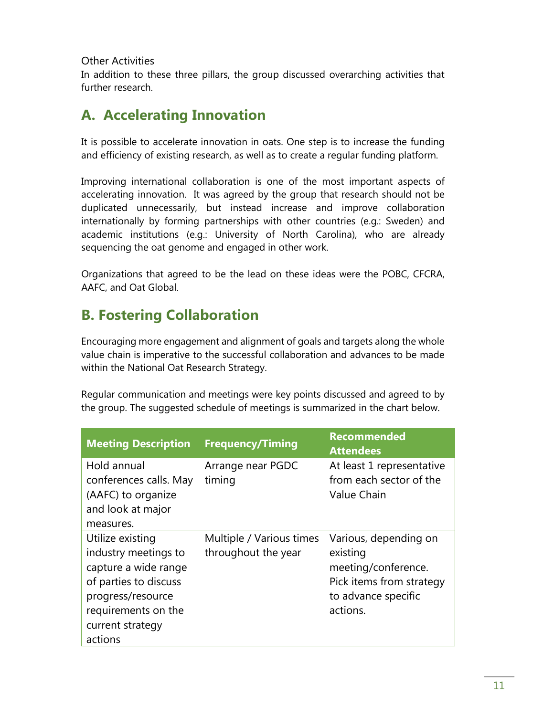#### <span id="page-11-0"></span>Other Activities

In addition to these three pillars, the group discussed overarching activities that further research.

#### <span id="page-11-1"></span>**A. Accelerating Innovation**

It is possible to accelerate innovation in oats. One step is to increase the funding and efficiency of existing research, as well as to create a regular funding platform.

Improving international collaboration is one of the most important aspects of accelerating innovation. It was agreed by the group that research should not be duplicated unnecessarily, but instead increase and improve collaboration internationally by forming partnerships with other countries (e.g.: Sweden) and academic institutions (e.g.: University of North Carolina), who are already sequencing the oat genome and engaged in other work.

Organizations that agreed to be the lead on these ideas were the POBC, CFCRA, AAFC, and Oat Global.

#### <span id="page-11-2"></span>**B. Fostering Collaboration**

Encouraging more engagement and alignment of goals and targets along the whole value chain is imperative to the successful collaboration and advances to be made within the National Oat Research Strategy.

Regular communication and meetings were key points discussed and agreed to by the group. The suggested schedule of meetings is summarized in the chart below.

| <b>Meeting Description</b>                                                                                                                                | <b>Frequency/Timing</b>                         | <b>Recommended</b><br><b>Attendees</b>                                                                                  |
|-----------------------------------------------------------------------------------------------------------------------------------------------------------|-------------------------------------------------|-------------------------------------------------------------------------------------------------------------------------|
| Hold annual<br>conferences calls. May<br>(AAFC) to organize<br>and look at major                                                                          | Arrange near PGDC<br>timing                     | At least 1 representative<br>from each sector of the<br><b>Value Chain</b>                                              |
| measures.                                                                                                                                                 |                                                 |                                                                                                                         |
| Utilize existing<br>industry meetings to<br>capture a wide range<br>of parties to discuss<br>progress/resource<br>requirements on the<br>current strategy | Multiple / Various times<br>throughout the year | Various, depending on<br>existing<br>meeting/conference.<br>Pick items from strategy<br>to advance specific<br>actions. |
| actions                                                                                                                                                   |                                                 |                                                                                                                         |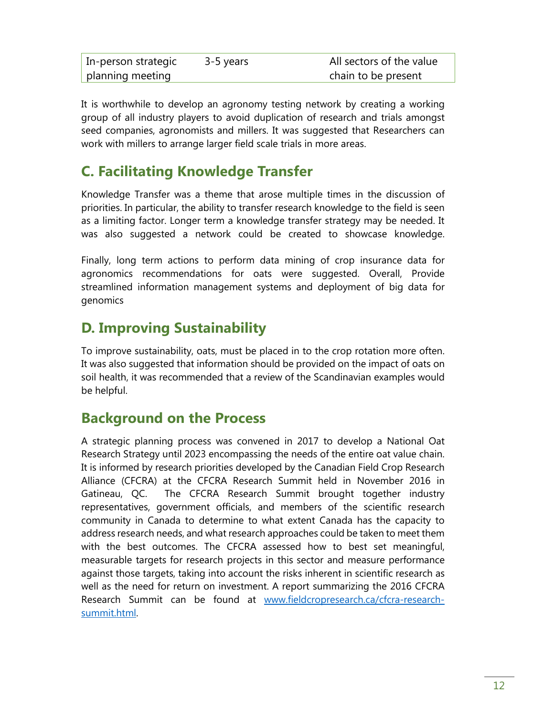| In-person strategic | 3-5 years | All sectors of the value |
|---------------------|-----------|--------------------------|
| planning meeting    |           | chain to be present      |

It is worthwhile to develop an agronomy testing network by creating a working group of all industry players to avoid duplication of research and trials amongst seed companies, agronomists and millers. It was suggested that Researchers can work with millers to arrange larger field scale trials in more areas.

#### <span id="page-12-0"></span>**C. Facilitating Knowledge Transfer**

Knowledge Transfer was a theme that arose multiple times in the discussion of priorities. In particular, the ability to transfer research knowledge to the field is seen as a limiting factor. Longer term a knowledge transfer strategy may be needed. It was also suggested a network could be created to showcase knowledge.

Finally, long term actions to perform data mining of crop insurance data for agronomics recommendations for oats were suggested. Overall, Provide streamlined information management systems and deployment of big data for genomics

#### <span id="page-12-1"></span>**D. Improving Sustainability**

To improve sustainability, oats, must be placed in to the crop rotation more often. It was also suggested that information should be provided on the impact of oats on soil health, it was recommended that a review of the Scandinavian examples would be helpful.

#### <span id="page-12-2"></span>**Background on the Process**

A strategic planning process was convened in 2017 to develop a National Oat Research Strategy until 2023 encompassing the needs of the entire oat value chain. It is informed by research priorities developed by the Canadian Field Crop Research Alliance (CFCRA) at the CFCRA Research Summit held in November 2016 in Gatineau, QC. The CFCRA Research Summit brought together industry representatives, government officials, and members of the scientific research community in Canada to determine to what extent Canada has the capacity to address research needs, and what research approaches could be taken to meet them with the best outcomes. The CFCRA assessed how to best set meaningful, measurable targets for research projects in this sector and measure performance against those targets, taking into account the risks inherent in scientific research as well as the need for return on investment. A report summarizing the 2016 CFCRA Research Summit can be found at [www.fieldcropresearch.ca/cfcra-research](http://www.fieldcropresearch.ca/cfcra-research-summit.html)[summit.html.](http://www.fieldcropresearch.ca/cfcra-research-summit.html)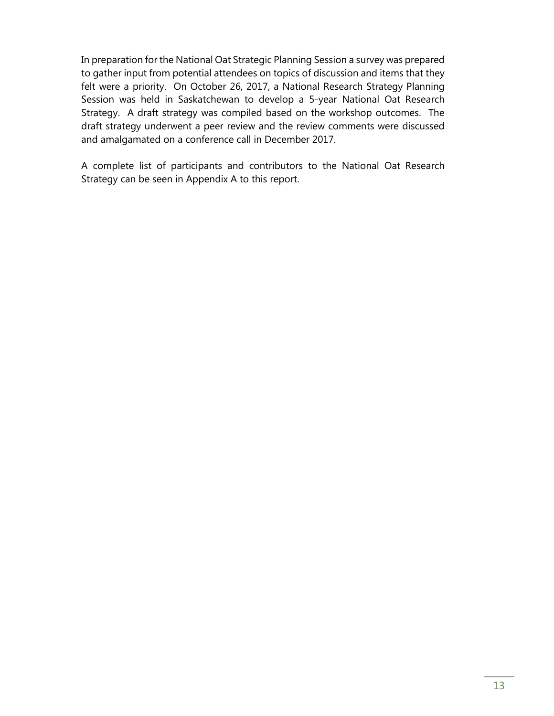In preparation for the National Oat Strategic Planning Session a survey was prepared to gather input from potential attendees on topics of discussion and items that they felt were a priority. On October 26, 2017, a National Research Strategy Planning Session was held in Saskatchewan to develop a 5-year National Oat Research Strategy. A draft strategy was compiled based on the workshop outcomes. The draft strategy underwent a peer review and the review comments were discussed and amalgamated on a conference call in December 2017.

A complete list of participants and contributors to the National Oat Research Strategy can be seen in Appendix A to this report.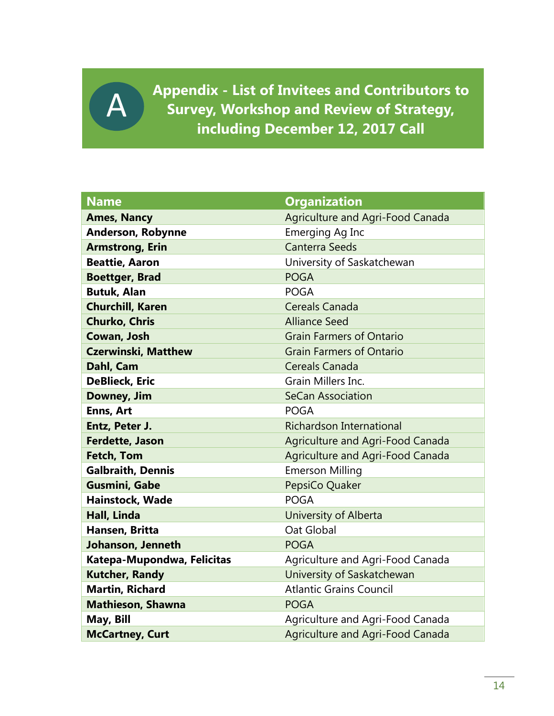<span id="page-14-0"></span>**Appendix - List of Invitees and Contributors to Survey, Workshop and Review of Strategy, including December 12, 2017 Call**

A

| <b>Name</b>                | <b>Organization</b>                     |
|----------------------------|-----------------------------------------|
| <b>Ames, Nancy</b>         | <b>Agriculture and Agri-Food Canada</b> |
| <b>Anderson, Robynne</b>   | Emerging Ag Inc                         |
| <b>Armstrong, Erin</b>     | <b>Canterra Seeds</b>                   |
| <b>Beattie, Aaron</b>      | University of Saskatchewan              |
| <b>Boettger, Brad</b>      | <b>POGA</b>                             |
| <b>Butuk, Alan</b>         | <b>POGA</b>                             |
| <b>Churchill, Karen</b>    | Cereals Canada                          |
| <b>Churko, Chris</b>       | <b>Alliance Seed</b>                    |
| Cowan, Josh                | <b>Grain Farmers of Ontario</b>         |
| <b>Czerwinski, Matthew</b> | <b>Grain Farmers of Ontario</b>         |
| Dahl, Cam                  | Cereals Canada                          |
| <b>DeBlieck, Eric</b>      | Grain Millers Inc.                      |
| Downey, Jim                | <b>SeCan Association</b>                |
| Enns, Art                  | <b>POGA</b>                             |
| Entz, Peter J.             | <b>Richardson International</b>         |
| <b>Ferdette, Jason</b>     | Agriculture and Agri-Food Canada        |
| <b>Fetch, Tom</b>          | Agriculture and Agri-Food Canada        |
| <b>Galbraith, Dennis</b>   | <b>Emerson Milling</b>                  |
| <b>Gusmini, Gabe</b>       | PepsiCo Quaker                          |
| Hainstock, Wade            | <b>POGA</b>                             |
| Hall, Linda                | University of Alberta                   |
| Hansen, Britta             | Oat Global                              |
| Johanson, Jenneth          | <b>POGA</b>                             |
| Katepa-Mupondwa, Felicitas | Agriculture and Agri-Food Canada        |
| <b>Kutcher, Randy</b>      | University of Saskatchewan              |
| <b>Martin, Richard</b>     | <b>Atlantic Grains Council</b>          |
| <b>Mathieson, Shawna</b>   | <b>POGA</b>                             |
| May, Bill                  | Agriculture and Agri-Food Canada        |
| <b>McCartney, Curt</b>     | <b>Agriculture and Agri-Food Canada</b> |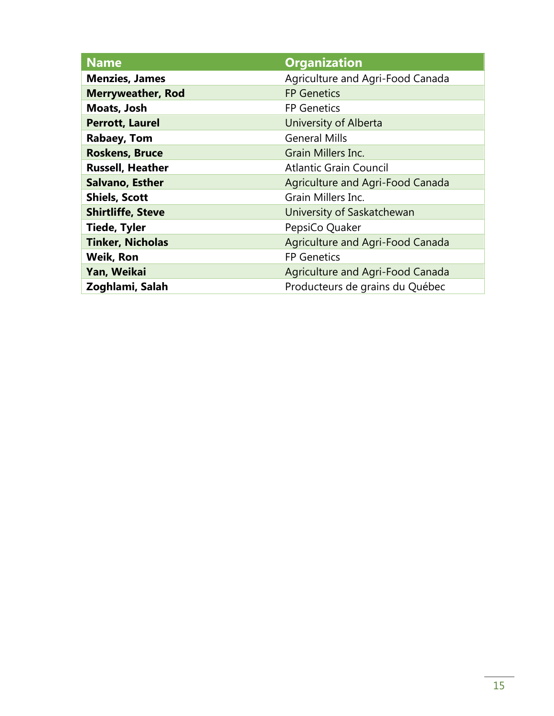| <b>Name</b>              | <b>Organization</b>                     |
|--------------------------|-----------------------------------------|
| <b>Menzies, James</b>    | Agriculture and Agri-Food Canada        |
| <b>Merryweather, Rod</b> | <b>FP Genetics</b>                      |
| Moats, Josh              | <b>FP Genetics</b>                      |
| <b>Perrott, Laurel</b>   | University of Alberta                   |
| <b>Rabaey, Tom</b>       | <b>General Mills</b>                    |
| <b>Roskens, Bruce</b>    | Grain Millers Inc.                      |
| <b>Russell, Heather</b>  | <b>Atlantic Grain Council</b>           |
| <b>Salvano, Esther</b>   | Agriculture and Agri-Food Canada        |
| <b>Shiels, Scott</b>     | Grain Millers Inc.                      |
| <b>Shirtliffe, Steve</b> | University of Saskatchewan              |
| <b>Tiede, Tyler</b>      | PepsiCo Quaker                          |
| <b>Tinker, Nicholas</b>  | Agriculture and Agri-Food Canada        |
| <b>Weik, Ron</b>         | <b>FP Genetics</b>                      |
| Yan, Weikai              | <b>Agriculture and Agri-Food Canada</b> |
| Zoghlami, Salah          | Producteurs de grains du Québec         |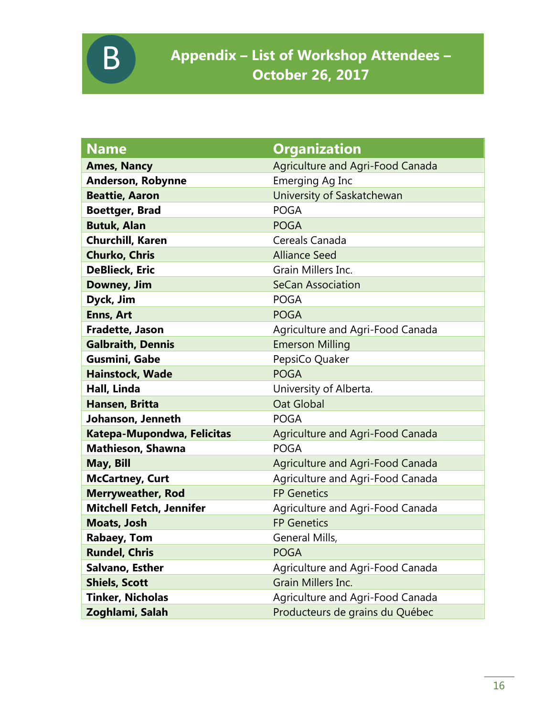<span id="page-16-0"></span>

| <b>Name</b>                     | <b>Organization</b>              |
|---------------------------------|----------------------------------|
| <b>Ames, Nancy</b>              | Agriculture and Agri-Food Canada |
| <b>Anderson, Robynne</b>        | Emerging Ag Inc                  |
| <b>Beattie, Aaron</b>           | University of Saskatchewan       |
| <b>Boettger, Brad</b>           | <b>POGA</b>                      |
| <b>Butuk, Alan</b>              | <b>POGA</b>                      |
| <b>Churchill, Karen</b>         | Cereals Canada                   |
| <b>Churko, Chris</b>            | <b>Alliance Seed</b>             |
| <b>DeBlieck, Eric</b>           | Grain Millers Inc.               |
| Downey, Jim                     | <b>SeCan Association</b>         |
| Dyck, Jim                       | <b>POGA</b>                      |
| <b>Enns, Art</b>                | <b>POGA</b>                      |
| Fradette, Jason                 | Agriculture and Agri-Food Canada |
| <b>Galbraith, Dennis</b>        | <b>Emerson Milling</b>           |
| Gusmini, Gabe                   | PepsiCo Quaker                   |
| <b>Hainstock, Wade</b>          | <b>POGA</b>                      |
| Hall, Linda                     | University of Alberta.           |
| Hansen, Britta                  | <b>Oat Global</b>                |
| Johanson, Jenneth               | <b>POGA</b>                      |
| Katepa-Mupondwa, Felicitas      | Agriculture and Agri-Food Canada |
| Mathieson, Shawna               | <b>POGA</b>                      |
| May, Bill                       | Agriculture and Agri-Food Canada |
| <b>McCartney, Curt</b>          | Agriculture and Agri-Food Canada |
| <b>Merryweather, Rod</b>        | <b>FP Genetics</b>               |
| <b>Mitchell Fetch, Jennifer</b> | Agriculture and Agri-Food Canada |
| <b>Moats, Josh</b>              | <b>FP Genetics</b>               |
| <b>Rabaey, Tom</b>              | General Mills,                   |
| <b>Rundel, Chris</b>            | <b>POGA</b>                      |
| Salvano, Esther                 | Agriculture and Agri-Food Canada |
| <b>Shiels, Scott</b>            | Grain Millers Inc.               |
| <b>Tinker, Nicholas</b>         | Agriculture and Agri-Food Canada |
| Zoghlami, Salah                 | Producteurs de grains du Québec  |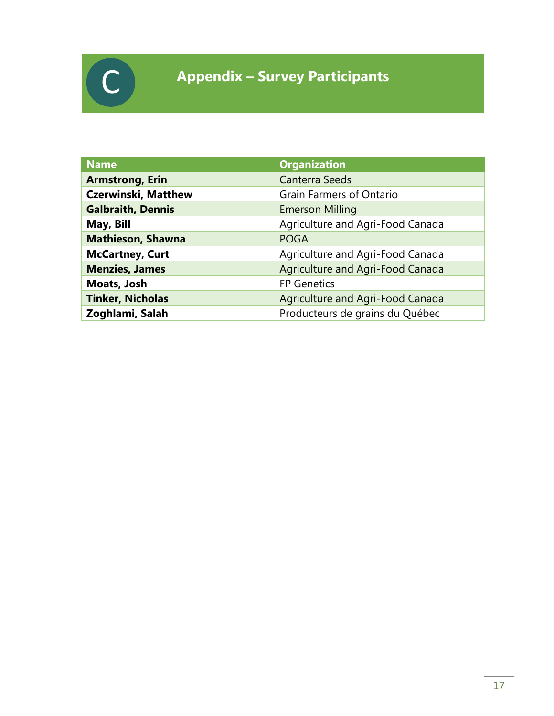

## <span id="page-17-0"></span>**Appendix – Survey Participants**

| <b>Name</b>                | <b>Organization</b>              |
|----------------------------|----------------------------------|
| <b>Armstrong, Erin</b>     | <b>Canterra Seeds</b>            |
| <b>Czerwinski, Matthew</b> | <b>Grain Farmers of Ontario</b>  |
| <b>Galbraith, Dennis</b>   | <b>Emerson Milling</b>           |
| May, Bill                  | Agriculture and Agri-Food Canada |
| <b>Mathieson, Shawna</b>   | <b>POGA</b>                      |
| <b>McCartney, Curt</b>     | Agriculture and Agri-Food Canada |
| <b>Menzies, James</b>      | Agriculture and Agri-Food Canada |
| Moats, Josh                | <b>FP Genetics</b>               |
| <b>Tinker, Nicholas</b>    | Agriculture and Agri-Food Canada |
| Zoghlami, Salah            | Producteurs de grains du Québec  |